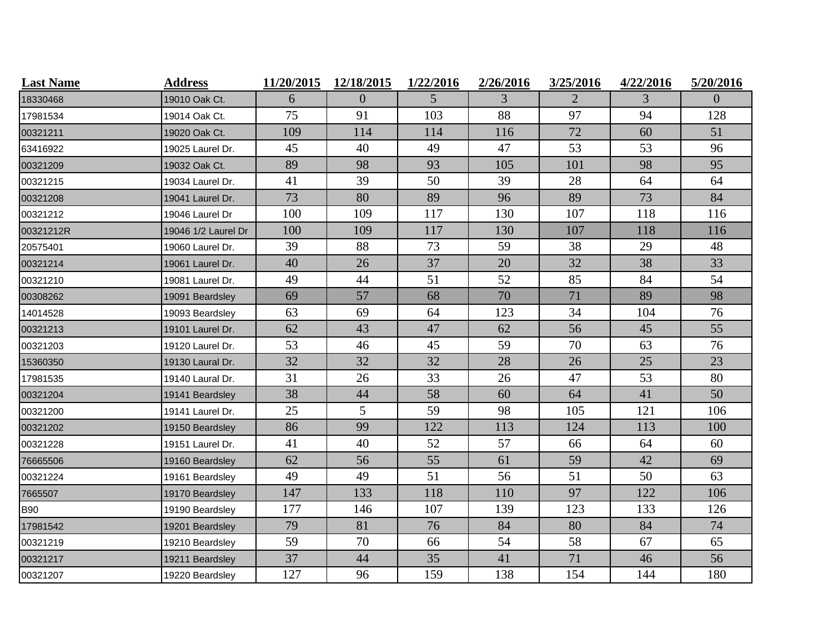| <b>Last Name</b> | <b>Address</b>      | 11/20/2015 | 12/18/2015 | 1/22/2016 | 2/26/2016 | 3/25/2016 | 4/22/2016 | 5/20/2016      |
|------------------|---------------------|------------|------------|-----------|-----------|-----------|-----------|----------------|
| 18330468         | 19010 Oak Ct.       | 6          | $\Omega$   | 5         | 3         | 2         | 3         | $\overline{0}$ |
| 17981534         | 19014 Oak Ct.       | 75         | 91         | 103       | 88        | 97        | 94        | 128            |
| 00321211         | 19020 Oak Ct.       | 109        | 114        | 114       | 116       | 72        | 60        | 51             |
| 63416922         | 19025 Laurel Dr.    | 45         | 40         | 49        | 47        | 53        | 53        | 96             |
| 00321209         | 19032 Oak Ct.       | 89         | 98         | 93        | 105       | 101       | 98        | 95             |
| 00321215         | 19034 Laurel Dr.    | 41         | 39         | 50        | 39        | 28        | 64        | 64             |
| 00321208         | 19041 Laurel Dr.    | 73         | 80         | 89        | 96        | 89        | 73        | 84             |
| 00321212         | 19046 Laurel Dr     | 100        | 109        | 117       | 130       | 107       | 118       | 116            |
| 00321212R        | 19046 1/2 Laurel Dr | 100        | 109        | 117       | 130       | 107       | 118       | 116            |
| 20575401         | 19060 Laurel Dr.    | 39         | 88         | 73        | 59        | 38        | 29        | 48             |
| 00321214         | 19061 Laurel Dr.    | 40         | 26         | 37        | 20        | 32        | 38        | 33             |
| 00321210         | 19081 Laurel Dr.    | 49         | 44         | 51        | 52        | 85        | 84        | 54             |
| 00308262         | 19091 Beardsley     | 69         | 57         | 68        | 70        | 71        | 89        | 98             |
| 14014528         | 19093 Beardsley     | 63         | 69         | 64        | 123       | 34        | 104       | 76             |
| 00321213         | 19101 Laurel Dr.    | 62         | 43         | 47        | 62        | 56        | 45        | 55             |
| 00321203         | 19120 Laurel Dr.    | 53         | 46         | 45        | 59        | 70        | 63        | 76             |
| 15360350         | 19130 Laural Dr.    | 32         | 32         | 32        | 28        | 26        | 25        | 23             |
| 17981535         | 19140 Laural Dr.    | 31         | 26         | 33        | 26        | 47        | 53        | 80             |
| 00321204         | 19141 Beardsley     | 38         | 44         | 58        | 60        | 64        | 41        | 50             |
| 00321200         | 19141 Laurel Dr.    | 25         | 5          | 59        | 98        | 105       | 121       | 106            |
| 00321202         | 19150 Beardsley     | 86         | 99         | 122       | 113       | 124       | 113       | 100            |
| 00321228         | 19151 Laurel Dr.    | 41         | 40         | 52        | 57        | 66        | 64        | 60             |
| 76665506         | 19160 Beardsley     | 62         | 56         | 55        | 61        | 59        | 42        | 69             |
| 00321224         | 19161 Beardsley     | 49         | 49         | 51        | 56        | 51        | 50        | 63             |
| 7665507          | 19170 Beardsley     | 147        | 133        | 118       | 110       | 97        | 122       | 106            |
| <b>B90</b>       | 19190 Beardsley     | 177        | 146        | 107       | 139       | 123       | 133       | 126            |
| 17981542         | 19201 Beardsley     | 79         | 81         | 76        | 84        | 80        | 84        | 74             |
| 00321219         | 19210 Beardsley     | 59         | 70         | 66        | 54        | 58        | 67        | 65             |
| 00321217         | 19211 Beardsley     | 37         | 44         | 35        | 41        | 71        | 46        | 56             |
| 00321207         | 19220 Beardsley     | 127        | 96         | 159       | 138       | 154       | 144       | 180            |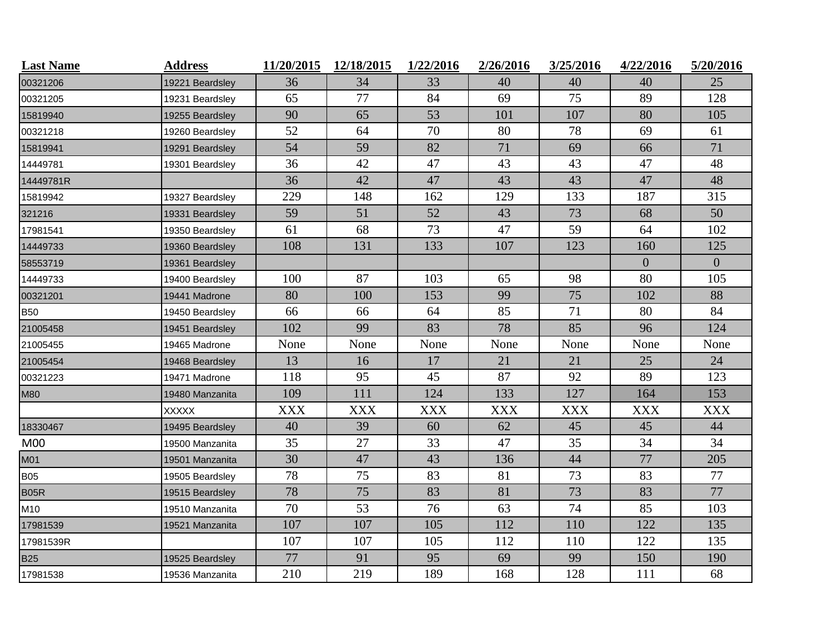| <b>Last Name</b> | <b>Address</b>  | 11/20/2015 | 12/18/2015 | 1/22/2016  | 2/26/2016  | 3/25/2016  | 4/22/2016    | 5/20/2016      |
|------------------|-----------------|------------|------------|------------|------------|------------|--------------|----------------|
| 00321206         | 19221 Beardsley | 36         | 34         | 33         | 40         | 40         | 40           | 25             |
| 00321205         | 19231 Beardsley | 65         | 77         | 84         | 69         | 75         | 89           | 128            |
| 15819940         | 19255 Beardsley | 90         | 65         | 53         | 101        | 107        | 80           | 105            |
| 00321218         | 19260 Beardsley | 52         | 64         | 70         | 80         | 78         | 69           | 61             |
| 15819941         | 19291 Beardsley | 54         | 59         | 82         | 71         | 69         | 66           | 71             |
| 14449781         | 19301 Beardsley | 36         | 42         | 47         | 43         | 43         | 47           | 48             |
| 14449781R        |                 | 36         | 42         | 47         | 43         | 43         | 47           | 48             |
| 15819942         | 19327 Beardsley | 229        | 148        | 162        | 129        | 133        | 187          | 315            |
| 321216           | 19331 Beardsley | 59         | 51         | 52         | 43         | 73         | 68           | 50             |
| 17981541         | 19350 Beardsley | 61         | 68         | 73         | 47         | 59         | 64           | 102            |
| 14449733         | 19360 Beardsley | 108        | 131        | 133        | 107        | 123        | 160          | 125            |
| 58553719         | 19361 Beardsley |            |            |            |            |            | $\mathbf{0}$ | $\overline{0}$ |
| 14449733         | 19400 Beardsley | 100        | 87         | 103        | 65         | 98         | 80           | 105            |
| 00321201         | 19441 Madrone   | 80         | 100        | 153        | 99         | 75         | 102          | 88             |
| B50              | 19450 Beardsley | 66         | 66         | 64         | 85         | 71         | 80           | 84             |
| 21005458         | 19451 Beardsley | 102        | 99         | 83         | 78         | 85         | 96           | 124            |
| 21005455         | 19465 Madrone   | None       | None       | None       | None       | None       | None         | None           |
| 21005454         | 19468 Beardsley | 13         | 16         | 17         | 21         | 21         | 25           | 24             |
| 00321223         | 19471 Madrone   | 118        | 95         | 45         | 87         | 92         | 89           | 123            |
| M80              | 19480 Manzanita | 109        | 111        | 124        | 133        | 127        | 164          | 153            |
|                  | <b>XXXXX</b>    | <b>XXX</b> | <b>XXX</b> | <b>XXX</b> | <b>XXX</b> | <b>XXX</b> | <b>XXX</b>   | <b>XXX</b>     |
| 18330467         | 19495 Beardsley | 40         | 39         | 60         | 62         | 45         | 45           | 44             |
| M00              | 19500 Manzanita | 35         | 27         | 33         | 47         | 35         | 34           | 34             |
| M01              | 19501 Manzanita | 30         | 47         | 43         | 136        | 44         | 77           | 205            |
| <b>B05</b>       | 19505 Beardsley | 78         | 75         | 83         | 81         | 73         | 83           | 77             |
| B05R             | 19515 Beardsley | 78         | 75         | 83         | 81         | 73         | 83           | 77             |
| M10              | 19510 Manzanita | 70         | 53         | 76         | 63         | 74         | 85           | 103            |
| 17981539         | 19521 Manzanita | 107        | 107        | 105        | 112        | 110        | 122          | 135            |
| 17981539R        |                 | 107        | 107        | 105        | 112        | 110        | 122          | 135            |
| <b>B25</b>       | 19525 Beardsley | 77         | 91         | 95         | 69         | 99         | 150          | 190            |
| 17981538         | 19536 Manzanita | 210        | 219        | 189        | 168        | 128        | 111          | 68             |